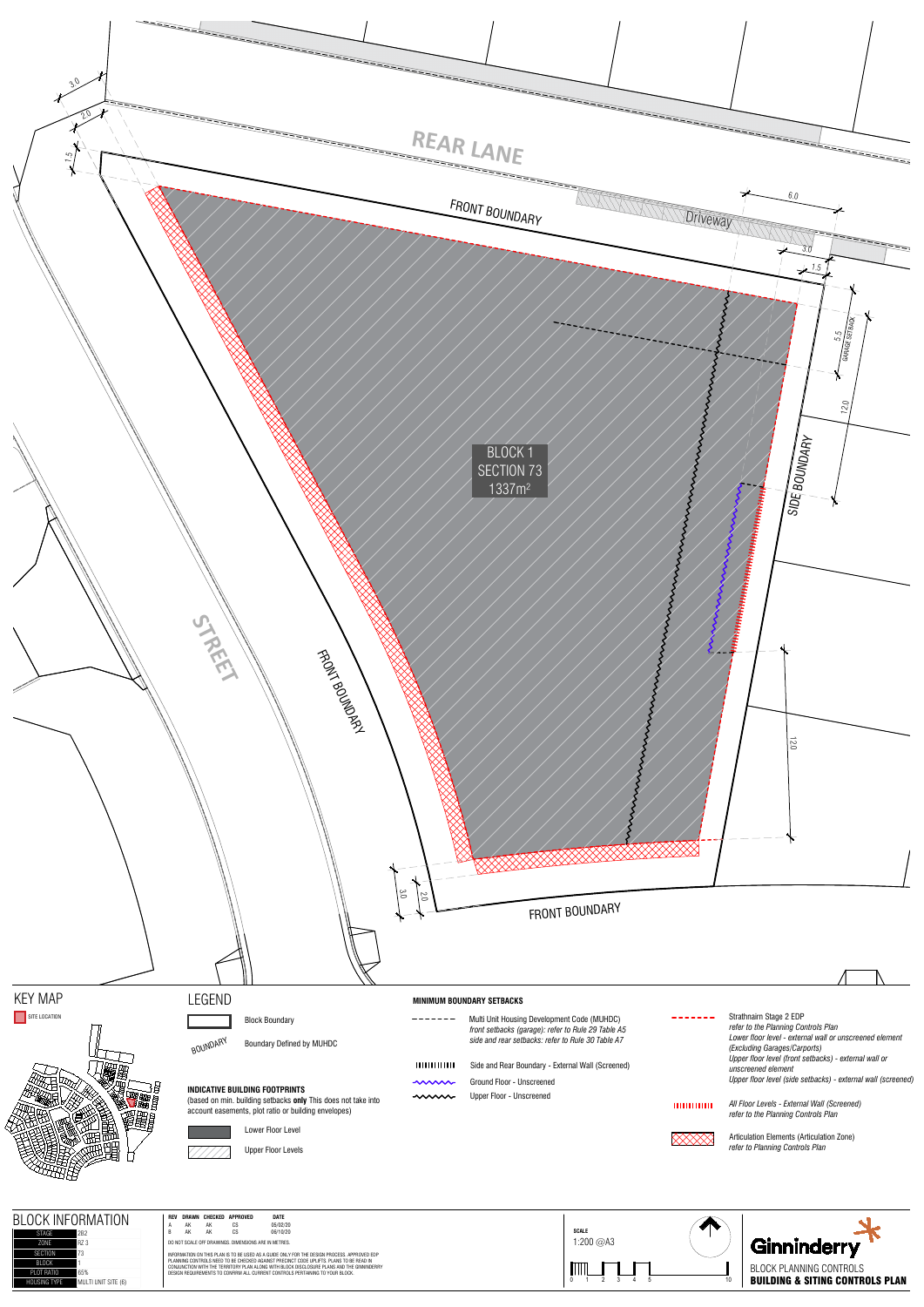





-------Strathnairn Stage 2 EDP *refer to the Planning Controls Plan Lower floor level - external wall or unscreened element (Excluding Garages/Carports) Upper floor level (front setbacks) - external wall or unscreened element Upper floor level (side setbacks) - external wall (screened)*

лишинг

 $-----  
---  
---$ Multi Unit Housing Development Code (MUHDC)

- лишинг
- $\sim$ 
	-

# LEGEND

Block Boundary

BOUNDARY Boundary Defined by MUHDC

## **INDICATIVE BUILDING FOOTPRINTS**

(based on min. building setbacks **only** This does not take into account easements, plot ratio or building envelopes)



| <b>BLOCK</b><br><b>NOIT</b><br><b>INFORMA.</b><br><b>STAGE</b><br>2B' | DATE<br>REV DRAWN CHECKED APPROVED<br>05/02/20<br>CS<br>AK<br>$\mathsf{CS}\phantom{0}$<br>AK<br>06/10/20                                                                                                                                                              | SCALE          |                                            |
|-----------------------------------------------------------------------|-----------------------------------------------------------------------------------------------------------------------------------------------------------------------------------------------------------------------------------------------------------------------|----------------|--------------------------------------------|
| ZONE<br>R7 3<br>SECTION                                               | DO NOT SCALE OFF DRAWINGS. DIMENSIONS ARE IN METRES.<br>INFORMATION ON THIS PLAN IS TO BE USED AS A GUIDE ONLY FOR THE DESIGN PROCESS. APPROVED EDP                                                                                                                   | 1:200 @A3      | Ginninderry                                |
| <b>BLOCK</b><br>PLOT RATIO<br>65%                                     | PLANNING CONTROLS NEED TO BE CHECKED AGAINST PRECINCT CODE UPLIFTS. PLANS TO BE READ IN<br>CONJUNCTION WITH THE TERRITORY PLAN ALONG WITH BLOCK DISCLOSURE PLANS AND THE GINNINDERRY<br>DESIGN REQUIREMENTS TO CONFIRM ALL CURRENT CONTROLS PERTAINING TO YOUR BLOCK. | $\blacksquare$ | BLOCK PLANNING CONTROLS                    |
| MULTI UNIT SITE (6)<br><b>HOUSING TYPE</b>                            |                                                                                                                                                                                                                                                                       | 10             | <b>BUILDING &amp; SITING CONTROLS PLAN</b> |

## **MINIMUM BOUNDARY SETBACKS**

Articulation Elements (Articulation Zone) *refer to Planning Controls Plan*

- Side and Rear Boundary External Wall (Screened)
- Ground Floor Unscreened
- Upper Floor Unscreened

*front setbacks (garage): refer to Rule 29 Table A5 side and rear setbacks: refer to Rule 30 Table A7*

### Lower Floor Level

Upper Floor Levels

*All Floor Levels - External Wall (Screened) refer to the Planning Controls Plan*